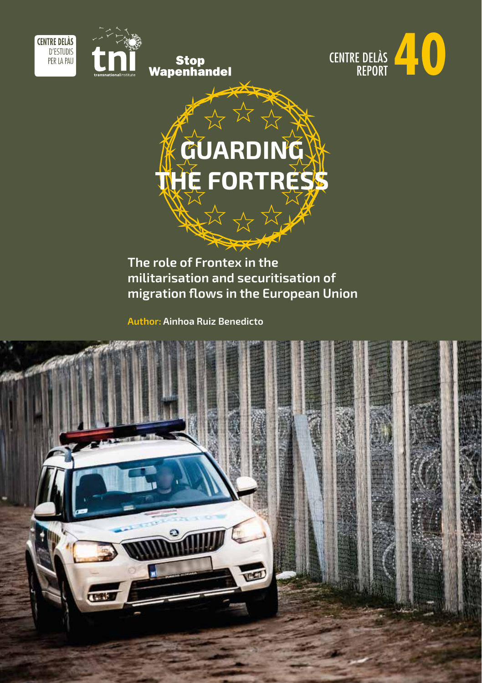





# **GUARDING THE FORTRESS** 这次的

## **The role of Frontex in the militarisation and securitisation of migration flows in the European Union**

**Author: Ainhoa Ruiz Benedicto**

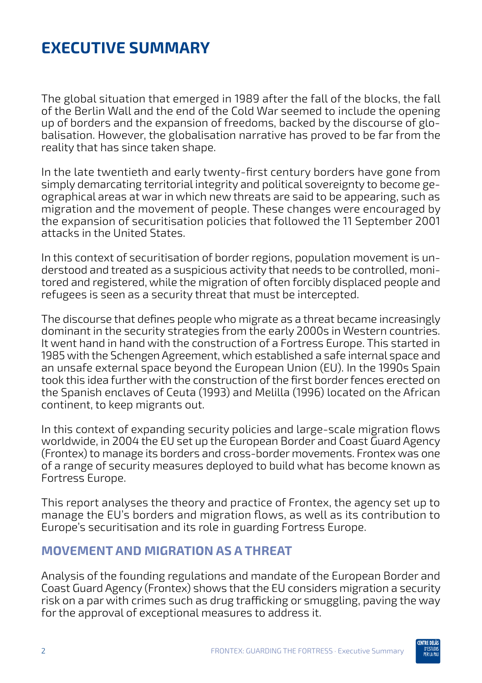## **EXECUTIVE SUMMARY**

The global situation that emerged in 1989 after the fall of the blocks, the fall of the Berlin Wall and the end of the Cold War seemed to include the opening up of borders and the expansion of freedoms, backed by the discourse of globalisation. However, the globalisation narrative has proved to be far from the reality that has since taken shape.

In the late twentieth and early twenty-first century borders have gone from simply demarcating territorial integrity and political sovereignty to become geographical areas at war in which new threats are said to be appearing, such as migration and the movement of people. These changes were encouraged by the expansion of securitisation policies that followed the 11 September 2001 attacks in the United States.

In this context of securitisation of border regions, population movement is understood and treated as a suspicious activity that needs to be controlled, monitored and registered, while the migration of often forcibly displaced people and refugees is seen as a security threat that must be intercepted.

The discourse that defines people who migrate as a threat became increasingly dominant in the security strategies from the early 2000s in Western countries. It went hand in hand with the construction of a Fortress Europe. This started in 1985 with the Schengen Agreement, which established a safe internal space and an unsafe external space beyond the European Union (EU). In the 1990s Spain took this idea further with the construction of the first border fences erected on the Spanish enclaves of Ceuta (1993) and Melilla (1996) located on the African continent, to keep migrants out.

In this context of expanding security policies and large-scale migration flows worldwide, in 2004 the EU set up the European Border and Coast Guard Agency (Frontex) to manage its borders and cross-border movements. Frontex was one of a range of security measures deployed to build what has become known as Fortress Europe.

This report analyses the theory and practice of Frontex, the agency set up to manage the EU's borders and migration flows, as well as its contribution to Europe's securitisation and its role in guarding Fortress Europe.

#### **MOVEMENT AND MIGRATION AS A THREAT**

Analysis of the founding regulations and mandate of the European Border and Coast Guard Agency (Frontex) shows that the EU considers migration a security risk on a par with crimes such as drug trafficking or smuggling, paving the way for the approval of exceptional measures to address it.

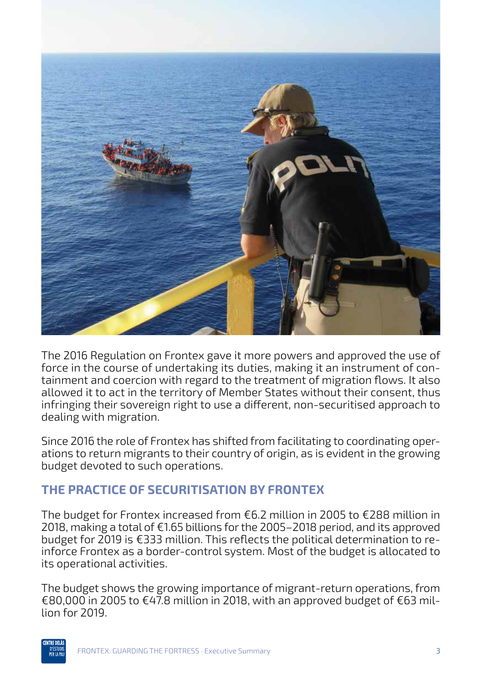

The 2016 Regulation on Frontex gave it more powers and approved the use of force in the course of undertaking its duties, making it an instrument of containment and coercion with regard to the treatment of migration flows. It also allowed it to act in the territory of Member States without their consent, thus infringing their sovereign right to use a different, non-securitised approach to dealing with migration.

Since 2016 the role of Frontex has shifted from facilitating to coordinating operations to return migrants to their country of origin, as is evident in the growing budget devoted to such operations.

### **THE PRACTICE OF SECURITISATION BY FRONTEX**

The budget for Frontex increased from €6.2 million in 2005 to €288 million in 2018, making a total of €1.65 billions for the 2005–2018 period, and its approved budget for 2019 is €333 million. This reflects the political determination to reinforce Frontex as a border-control system. Most of the budget is allocated to its operational activities.

The budget shows the growing importance of migrant-return operations, from €80,000 in 2005 to €47.8 million in 2018, with an approved budget of €63 million for 2019.

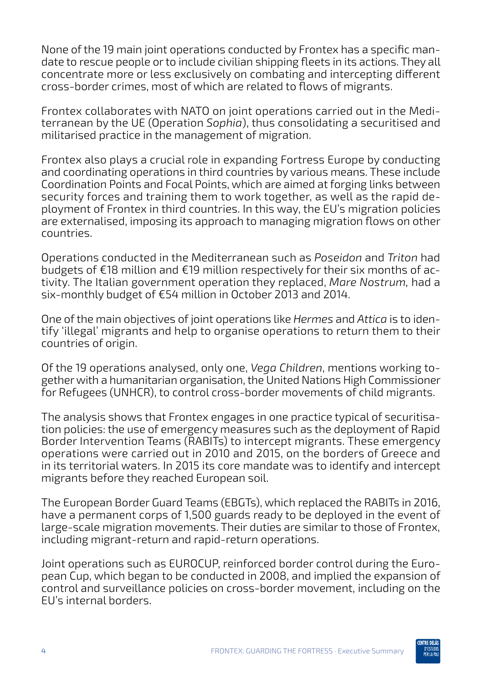None of the 19 main joint operations conducted by Frontex has a specific mandate to rescue people or to include civilian shipping fleets in its actions. They all concentrate more or less exclusively on combating and intercepting different cross-border crimes, most of which are related to flows of migrants.

Frontex collaborates with NATO on joint operations carried out in the Mediterranean by the UE (Operation *Sophia*), thus consolidating a securitised and militarised practice in the management of migration.

Frontex also plays a crucial role in expanding Fortress Europe by conducting and coordinating operations in third countries by various means. These include Coordination Points and Focal Points, which are aimed at forging links between security forces and training them to work together, as well as the rapid deployment of Frontex in third countries. In this way, the EU's migration policies are externalised, imposing its approach to managing migration flows on other countries.

Operations conducted in the Mediterranean such as *Poseidon* and *Triton* had budgets of €18 million and €19 million respectively for their six months of activity. The Italian government operation they replaced, *Mare Nostrum,* had a six-monthly budget of €54 million in October 2013 and 2014.

One of the main objectives of joint operations like *Hermes* and *Attica* is to identify 'illegal' migrants and help to organise operations to return them to their countries of origin.

Of the 19 operations analysed, only one, *Vega Children*, mentions working together with a humanitarian organisation, the United Nations High Commissioner for Refugees (UNHCR), to control cross-border movements of child migrants.

The analysis shows that Frontex engages in one practice typical of securitisation policies: the use of emergency measures such as the deployment of Rapid Border Intervention Teams (RABITs) to intercept migrants. These emergency operations were carried out in 2010 and 2015, on the borders of Greece and in its territorial waters. In 2015 its core mandate was to identify and intercept migrants before they reached European soil.

The European Border Guard Teams (EBGTs), which replaced the RABITs in 2016, have a permanent corps of 1,500 guards ready to be deployed in the event of large-scale migration movements. Their duties are similar to those of Frontex, including migrant-return and rapid-return operations.

Joint operations such as EUROCUP, reinforced border control during the European Cup, which began to be conducted in 2008, and implied the expansion of control and surveillance policies on cross-border movement, including on the EU's internal borders.

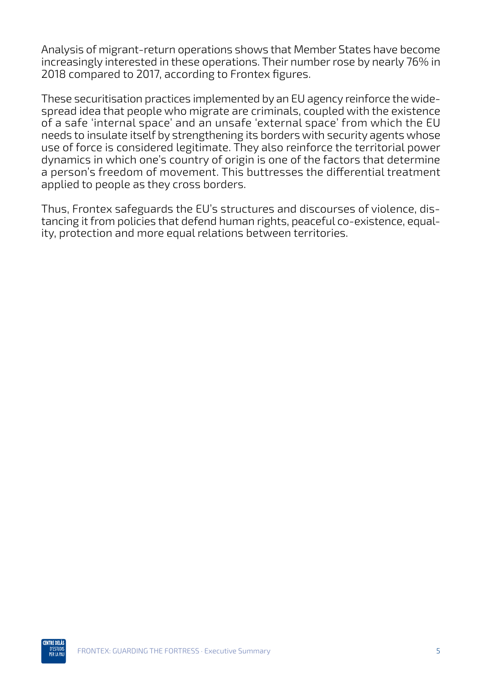Analysis of migrant-return operations shows that Member States have become increasingly interested in these operations. Their number rose by nearly 76% in 2018 compared to 2017, according to Frontex figures.

These securitisation practices implemented by an EU agency reinforce the widespread idea that people who migrate are criminals, coupled with the existence of a safe 'internal space' and an unsafe 'external space' from which the EU needs to insulate itself by strengthening its borders with security agents whose use of force is considered legitimate. They also reinforce the territorial power dynamics in which one's country of origin is one of the factors that determine a person's freedom of movement. This buttresses the differential treatment applied to people as they cross borders.

Thus, Frontex safeguards the EU's structures and discourses of violence, distancing it from policies that defend human rights, peaceful co-existence, equality, protection and more equal relations between territories.